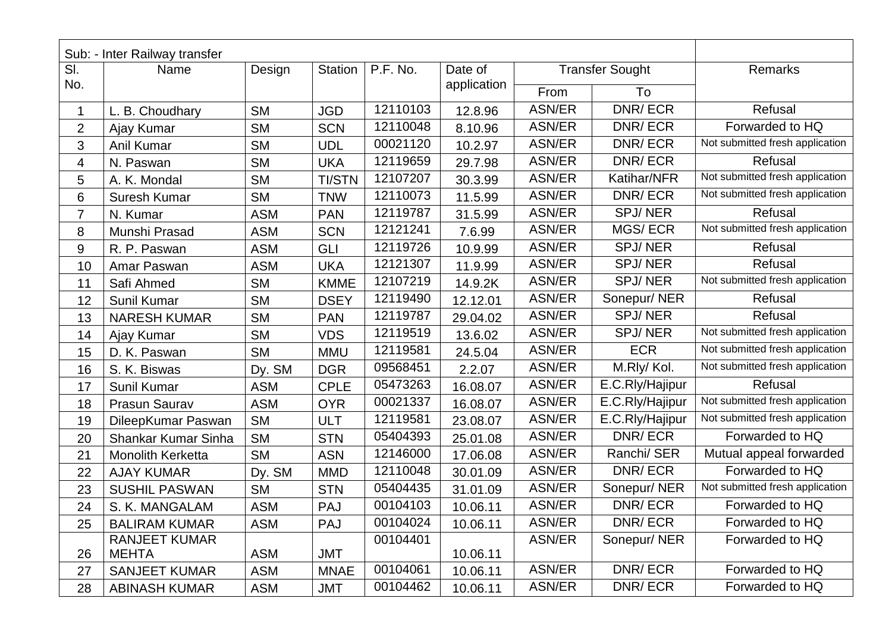|                | Sub: - Inter Railway transfer |            |               |          |             |               |                        |                                 |
|----------------|-------------------------------|------------|---------------|----------|-------------|---------------|------------------------|---------------------------------|
| SI.            | Name                          | Design     | Station       | P.F. No. | Date of     |               | <b>Transfer Sought</b> | Remarks                         |
| No.            |                               |            |               |          | application | To<br>From    |                        |                                 |
| 1              | L. B. Choudhary               | <b>SM</b>  | <b>JGD</b>    | 12110103 | 12.8.96     | <b>ASN/ER</b> | DNR/ECR                | Refusal                         |
| $\overline{2}$ | Ajay Kumar                    | <b>SM</b>  | <b>SCN</b>    | 12110048 | 8.10.96     | <b>ASN/ER</b> | DNR/ECR                | Forwarded to HQ                 |
| 3              | Anil Kumar                    | <b>SM</b>  | <b>UDL</b>    | 00021120 | 10.2.97     | ASN/ER        | DNR/ECR                | Not submitted fresh application |
| 4              | N. Paswan                     | <b>SM</b>  | <b>UKA</b>    | 12119659 | 29.7.98     | ASN/ER        | DNR/ECR                | Refusal                         |
| 5              | A. K. Mondal                  | <b>SM</b>  | <b>TI/STN</b> | 12107207 | 30.3.99     | ASN/ER        | Katihar/NFR            | Not submitted fresh application |
| 6              | Suresh Kumar                  | <b>SM</b>  | <b>TNW</b>    | 12110073 | 11.5.99     | <b>ASN/ER</b> | DNR/ECR                | Not submitted fresh application |
| 7              | N. Kumar                      | <b>ASM</b> | <b>PAN</b>    | 12119787 | 31.5.99     | <b>ASN/ER</b> | <b>SPJ/NER</b>         | Refusal                         |
| 8              | Munshi Prasad                 | <b>ASM</b> | <b>SCN</b>    | 12121241 | 7.6.99      | ASN/ER        | <b>MGS/ECR</b>         | Not submitted fresh application |
| 9              | R. P. Paswan                  | <b>ASM</b> | GLI           | 12119726 | 10.9.99     | <b>ASN/ER</b> | <b>SPJ/NER</b>         | Refusal                         |
| 10             | Amar Paswan                   | <b>ASM</b> | <b>UKA</b>    | 12121307 | 11.9.99     | <b>ASN/ER</b> | <b>SPJ/NER</b>         | Refusal                         |
| 11             | Safi Ahmed                    | <b>SM</b>  | <b>KMME</b>   | 12107219 | 14.9.2K     | <b>ASN/ER</b> | <b>SPJ/NER</b>         | Not submitted fresh application |
| 12             | Sunil Kumar                   | <b>SM</b>  | <b>DSEY</b>   | 12119490 | 12.12.01    | <b>ASN/ER</b> | Sonepur/NER            | Refusal                         |
| 13             | <b>NARESH KUMAR</b>           | <b>SM</b>  | <b>PAN</b>    | 12119787 | 29.04.02    | <b>ASN/ER</b> | <b>SPJ/NER</b>         | Refusal                         |
| 14             | Ajay Kumar                    | <b>SM</b>  | <b>VDS</b>    | 12119519 | 13.6.02     | <b>ASN/ER</b> | <b>SPJ/NER</b>         | Not submitted fresh application |
| 15             | D. K. Paswan                  | <b>SM</b>  | <b>MMU</b>    | 12119581 | 24.5.04     | ASN/ER        | <b>ECR</b>             | Not submitted fresh application |
| 16             | S. K. Biswas                  | Dy. SM     | <b>DGR</b>    | 09568451 | 2.2.07      | <b>ASN/ER</b> | M.Rly/Kol.             | Not submitted fresh application |
| 17             | Sunil Kumar                   | <b>ASM</b> | <b>CPLE</b>   | 05473263 | 16.08.07    | <b>ASN/ER</b> | E.C.Rly/Hajipur        | Refusal                         |
| 18             | Prasun Saurav                 | <b>ASM</b> | <b>OYR</b>    | 00021337 | 16.08.07    | ASN/ER        | E.C.Rly/Hajipur        | Not submitted fresh application |
| 19             | DileepKumar Paswan            | <b>SM</b>  | <b>ULT</b>    | 12119581 | 23.08.07    | ASN/ER        | E.C.Rly/Hajipur        | Not submitted fresh application |
| 20             | Shankar Kumar Sinha           | <b>SM</b>  | <b>STN</b>    | 05404393 | 25.01.08    | <b>ASN/ER</b> | DNR/ECR                | Forwarded to HQ                 |
| 21             | <b>Monolith Kerketta</b>      | <b>SM</b>  | <b>ASN</b>    | 12146000 | 17.06.08    | ASN/ER        | Ranchi/ SER            | Mutual appeal forwarded         |
| 22             | <b>AJAY KUMAR</b>             | Dy. SM     | <b>MMD</b>    | 12110048 | 30.01.09    | ASN/ER        | DNR/ECR                | Forwarded to HQ                 |
| 23             | <b>SUSHIL PASWAN</b>          | <b>SM</b>  | <b>STN</b>    | 05404435 | 31.01.09    | ASN/ER        | Sonepur/NER            | Not submitted fresh application |
| 24             | S. K. MANGALAM                | <b>ASM</b> | <b>PAJ</b>    | 00104103 | 10.06.11    | <b>ASN/ER</b> | DNR/ECR                | Forwarded to HQ                 |
| 25             | <b>BALIRAM KUMAR</b>          | <b>ASM</b> | PAJ           | 00104024 | 10.06.11    | ASN/ER        | DNR/ECR                | Forwarded to HQ                 |
|                | <b>RANJEET KUMAR</b>          |            |               | 00104401 |             | ASN/ER        | Sonepur/NER            | Forwarded to HQ                 |
| 26             | MEHTA                         | <b>ASM</b> | <b>JMT</b>    |          | 10.06.11    |               |                        |                                 |
| 27             | <b>SANJEET KUMAR</b>          | <b>ASM</b> | <b>MNAE</b>   | 00104061 | 10.06.11    | <b>ASN/ER</b> | DNR/ECR                | Forwarded to HQ                 |
| 28             | <b>ABINASH KUMAR</b>          | ASM        | <b>JMT</b>    | 00104462 | 10.06.11    | ASN/ER        | DNR/ECR                | Forwarded to HQ                 |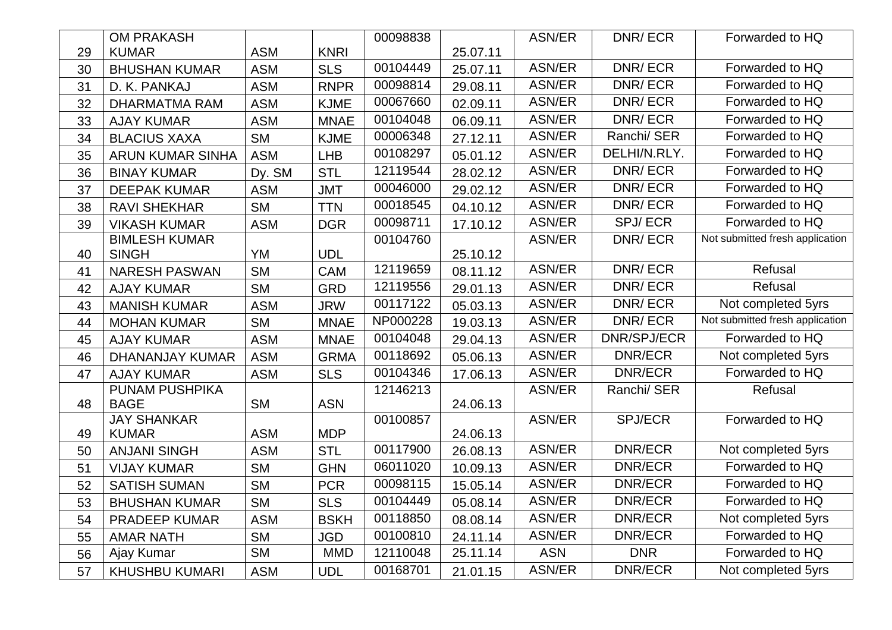|    | <b>OM PRAKASH</b>       |                        |             | 00098838 |          | ASN/ER        | DNR/ECR        | Forwarded to HQ                 |
|----|-------------------------|------------------------|-------------|----------|----------|---------------|----------------|---------------------------------|
| 29 | <b>KUMAR</b>            | <b>ASM</b>             | <b>KNRI</b> |          | 25.07.11 |               |                |                                 |
| 30 | <b>BHUSHAN KUMAR</b>    | <b>ASM</b>             | <b>SLS</b>  | 00104449 | 25.07.11 | <b>ASN/ER</b> | DNR/ECR        | Forwarded to HQ                 |
| 31 | D. K. PANKAJ            | <b>ASM</b>             | <b>RNPR</b> | 00098814 | 29.08.11 | <b>ASN/ER</b> | DNR/ECR        | Forwarded to HQ                 |
| 32 | DHARMATMA RAM           | <b>ASM</b>             | <b>KJME</b> | 00067660 | 02.09.11 | <b>ASN/ER</b> | DNR/ECR        | Forwarded to HQ                 |
| 33 | <b>AJAY KUMAR</b>       | <b>ASM</b>             | <b>MNAE</b> | 00104048 | 06.09.11 | ASN/ER        | DNR/ECR        | Forwarded to HQ                 |
| 34 | <b>BLACIUS XAXA</b>     | <b>SM</b>              | <b>KJME</b> | 00006348 | 27.12.11 | <b>ASN/ER</b> | Ranchi/ SER    | Forwarded to HQ                 |
| 35 | <b>ARUN KUMAR SINHA</b> | <b>ASM</b>             | <b>LHB</b>  | 00108297 | 05.01.12 | <b>ASN/ER</b> | DELHI/N.RLY.   | Forwarded to HQ                 |
| 36 | <b>BINAY KUMAR</b>      | Dy. SM                 | <b>STL</b>  | 12119544 | 28.02.12 | <b>ASN/ER</b> | DNR/ECR        | Forwarded to HQ                 |
| 37 | <b>DEEPAK KUMAR</b>     | <b>ASM</b>             | <b>JMT</b>  | 00046000 | 29.02.12 | <b>ASN/ER</b> | <b>DNR/ECR</b> | Forwarded to HQ                 |
| 38 | <b>RAVI SHEKHAR</b>     | <b>SM</b>              | <b>TTN</b>  | 00018545 | 04.10.12 | <b>ASN/ER</b> | DNR/ECR        | Forwarded to HQ                 |
| 39 | <b>VIKASH KUMAR</b>     | <b>ASM</b>             | <b>DGR</b>  | 00098711 | 17.10.12 | ASN/ER        | <b>SPJ/ECR</b> | Forwarded to HQ                 |
|    | <b>BIMLESH KUMAR</b>    |                        |             | 00104760 |          | ASN/ER        | DNR/ECR        | Not submitted fresh application |
| 40 | <b>SINGH</b>            | <b>YM</b>              | <b>UDL</b>  |          | 25.10.12 |               |                |                                 |
| 41 | <b>NARESH PASWAN</b>    | <b>SM</b>              | <b>CAM</b>  | 12119659 | 08.11.12 | <b>ASN/ER</b> | DNR/ECR        | Refusal                         |
| 42 | <b>AJAY KUMAR</b>       | <b>SM</b>              | <b>GRD</b>  | 12119556 | 29.01.13 | <b>ASN/ER</b> | DNR/ECR        | Refusal                         |
| 43 | <b>MANISH KUMAR</b>     | <b>ASM</b>             | <b>JRW</b>  | 00117122 | 05.03.13 | <b>ASN/ER</b> | DNR/ECR        | Not completed 5yrs              |
| 44 | <b>MOHAN KUMAR</b>      | <b>SM</b>              | <b>MNAE</b> | NP000228 | 19.03.13 | <b>ASN/ER</b> | DNR/ECR        | Not submitted fresh application |
| 45 | <b>AJAY KUMAR</b>       | <b>ASM</b>             | <b>MNAE</b> | 00104048 | 29.04.13 | ASN/ER        | DNR/SPJ/ECR    | Forwarded to HQ                 |
| 46 | DHANANJAY KUMAR         | <b>ASM</b>             | <b>GRMA</b> | 00118692 | 05.06.13 | <b>ASN/ER</b> | <b>DNR/ECR</b> | Not completed 5yrs              |
| 47 | <b>AJAY KUMAR</b>       | <b>ASM</b>             | <b>SLS</b>  | 00104346 | 17.06.13 | <b>ASN/ER</b> | <b>DNR/ECR</b> | Forwarded to HQ                 |
|    | PUNAM PUSHPIKA          |                        |             | 12146213 |          | ASN/ER        | Ranchi/ SER    | Refusal                         |
| 48 | <b>BAGE</b>             | <b>SM</b>              | <b>ASN</b>  |          | 24.06.13 |               |                |                                 |
|    | <b>JAY SHANKAR</b>      |                        |             | 00100857 |          | ASN/ER        | <b>SPJ/ECR</b> | Forwarded to HQ                 |
| 49 | <b>KUMAR</b>            | <b>ASM</b>             | <b>MDP</b>  | 00117900 | 24.06.13 | <b>ASN/ER</b> | <b>DNR/ECR</b> |                                 |
| 50 | <b>ANJANI SINGH</b>     | <b>ASM</b>             | <b>STL</b>  |          | 26.08.13 |               |                | Not completed 5yrs              |
| 51 | <b>VIJAY KUMAR</b>      | <b>SM</b>              | <b>GHN</b>  | 06011020 | 10.09.13 | <b>ASN/ER</b> | <b>DNR/ECR</b> | Forwarded to HQ                 |
| 52 | <b>SATISH SUMAN</b>     | <b>SM</b>              | <b>PCR</b>  | 00098115 | 15.05.14 | ASN/ER        | <b>DNR/ECR</b> | Forwarded to HQ                 |
| 53 | <b>BHUSHAN KUMAR</b>    | <b>SM</b>              | <b>SLS</b>  | 00104449 | 05.08.14 | <b>ASN/ER</b> | <b>DNR/ECR</b> | Forwarded to HQ                 |
| 54 | <b>PRADEEP KUMAR</b>    | <b>ASM</b>             | <b>BSKH</b> | 00118850 | 08.08.14 | ASN/ER        | <b>DNR/ECR</b> | Not completed 5yrs              |
| 55 | <b>AMAR NATH</b>        | <b>SM</b>              | <b>JGD</b>  | 00100810 | 24.11.14 | <b>ASN/ER</b> | <b>DNR/ECR</b> | Forwarded to HQ                 |
| 56 | Ajay Kumar              | $\overline{\text{SM}}$ | <b>MMD</b>  | 12110048 | 25.11.14 | <b>ASN</b>    | <b>DNR</b>     | Forwarded to HQ                 |
| 57 | <b>KHUSHBU KUMARI</b>   | <b>ASM</b>             | <b>UDL</b>  | 00168701 | 21.01.15 | <b>ASN/ER</b> | <b>DNR/ECR</b> | Not completed 5yrs              |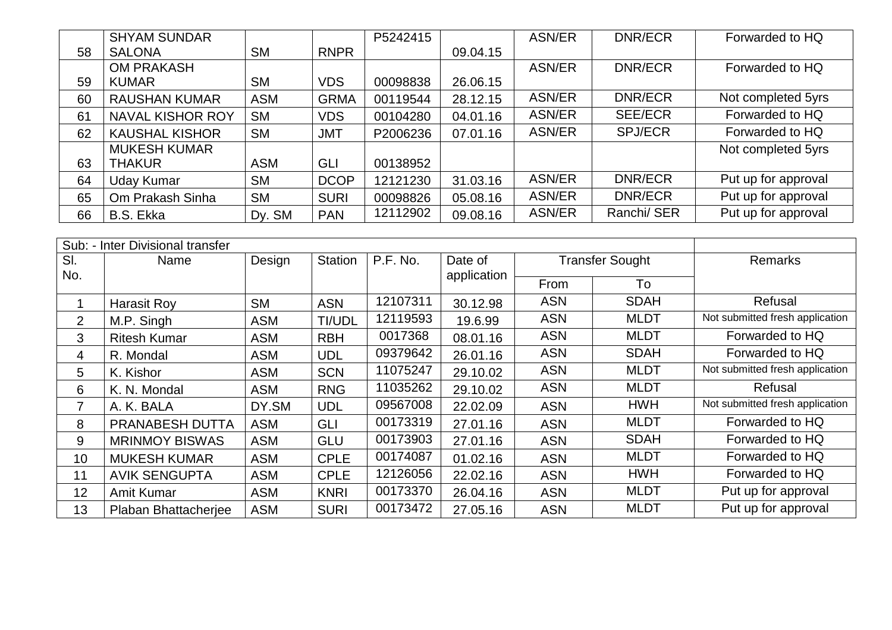|    | <b>SHYAM SUNDAR</b>     |            |             | P5242415 |          | <b>ASN/ER</b> | DNR/ECR        | Forwarded to HQ     |
|----|-------------------------|------------|-------------|----------|----------|---------------|----------------|---------------------|
| 58 | <b>SALONA</b>           | <b>SM</b>  | <b>RNPR</b> |          | 09.04.15 |               |                |                     |
|    | <b>OM PRAKASH</b>       |            |             |          |          | ASN/ER        | DNR/ECR        | Forwarded to HQ     |
| 59 | <b>KUMAR</b>            | <b>SM</b>  | <b>VDS</b>  | 00098838 | 26.06.15 |               |                |                     |
| 60 | <b>RAUSHAN KUMAR</b>    | <b>ASM</b> | <b>GRMA</b> | 00119544 | 28.12.15 | ASN/ER        | DNR/ECR        | Not completed 5yrs  |
| 61 | <b>NAVAL KISHOR ROY</b> | <b>SM</b>  | <b>VDS</b>  | 00104280 | 04.01.16 | ASN/ER        | <b>SEE/ECR</b> | Forwarded to HQ     |
| 62 | <b>KAUSHAL KISHOR</b>   | <b>SM</b>  | <b>JMT</b>  | P2006236 | 07.01.16 | ASN/ER        | <b>SPJ/ECR</b> | Forwarded to HQ     |
|    | <b>MUKESH KUMAR</b>     |            |             |          |          |               |                | Not completed 5yrs  |
| 63 | <b>THAKUR</b>           | <b>ASM</b> | GLI         | 00138952 |          |               |                |                     |
| 64 | <b>Uday Kumar</b>       | <b>SM</b>  | <b>DCOP</b> | 12121230 | 31.03.16 | <b>ASN/ER</b> | DNR/ECR        | Put up for approval |
| 65 | Om Prakash Sinha        | <b>SM</b>  | <b>SURI</b> | 00098826 | 05.08.16 | ASN/ER        | DNR/ECR        | Put up for approval |
| 66 | B.S. Ekka               | Dy. SM     | <b>PAN</b>  | 12112902 | 09.08.16 | ASN/ER        | Ranchi/ SER    | Put up for approval |

|                | Sub: - Inter Divisional transfer |            |                |          |             |            |                        |                                 |
|----------------|----------------------------------|------------|----------------|----------|-------------|------------|------------------------|---------------------------------|
| SI.            | Name                             | Design     | <b>Station</b> | P.F. No. | Date of     |            | <b>Transfer Sought</b> | <b>Remarks</b>                  |
| No.            |                                  |            |                |          | application | From<br>To |                        |                                 |
|                | <b>Harasit Roy</b>               | <b>SM</b>  | <b>ASN</b>     | 12107311 | 30.12.98    | <b>ASN</b> | <b>SDAH</b>            | Refusal                         |
| $\overline{2}$ | M.P. Singh                       | <b>ASM</b> | TI/UDL         | 12119593 | 19.6.99     | <b>ASN</b> | <b>MLDT</b>            | Not submitted fresh application |
| 3              | <b>Ritesh Kumar</b>              | <b>ASM</b> | <b>RBH</b>     | 0017368  | 08.01.16    | <b>ASN</b> | <b>MLDT</b>            | Forwarded to HQ                 |
| 4              | R. Mondal                        | <b>ASM</b> | <b>UDL</b>     | 09379642 | 26.01.16    | <b>ASN</b> | <b>SDAH</b>            | Forwarded to HQ                 |
| 5              | K. Kishor                        | <b>ASM</b> | <b>SCN</b>     | 11075247 | 29.10.02    | <b>ASN</b> | <b>MLDT</b>            | Not submitted fresh application |
| 6              | K. N. Mondal                     | <b>ASM</b> | <b>RNG</b>     | 11035262 | 29.10.02    | <b>ASN</b> | <b>MLDT</b>            | Refusal                         |
| $\overline{7}$ | A. K. BALA                       | DY.SM      | UDL            | 09567008 | 22.02.09    | <b>ASN</b> | <b>HWH</b>             | Not submitted fresh application |
| 8              | PRANABESH DUTTA                  | <b>ASM</b> | GLI            | 00173319 | 27.01.16    | <b>ASN</b> | <b>MLDT</b>            | Forwarded to HQ                 |
| 9              | <b>MRINMOY BISWAS</b>            | <b>ASM</b> | <b>GLU</b>     | 00173903 | 27.01.16    | <b>ASN</b> | <b>SDAH</b>            | Forwarded to HQ                 |
| 10             | <b>MUKESH KUMAR</b>              | <b>ASM</b> | <b>CPLE</b>    | 00174087 | 01.02.16    | <b>ASN</b> | <b>MLDT</b>            | Forwarded to HQ                 |
| 11             | <b>AVIK SENGUPTA</b>             | <b>ASM</b> | <b>CPLE</b>    | 12126056 | 22.02.16    | <b>ASN</b> | <b>HWH</b>             | Forwarded to HQ                 |
| 12             | Amit Kumar                       | <b>ASM</b> | <b>KNRI</b>    | 00173370 | 26.04.16    | <b>ASN</b> | <b>MLDT</b>            | Put up for approval             |
| 13             | Plaban Bhattacherjee             | <b>ASM</b> | <b>SURI</b>    | 00173472 | 27.05.16    | <b>ASN</b> | <b>MLDT</b>            | Put up for approval             |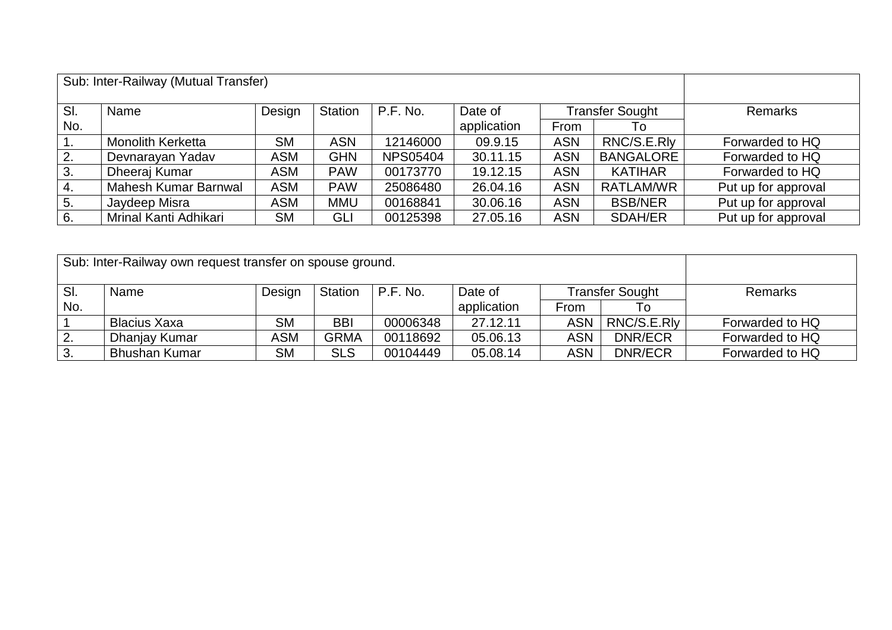|                  | Sub: Inter-Railway (Mutual Transfer) |                |            |                 |             |            |                  |                     |
|------------------|--------------------------------------|----------------|------------|-----------------|-------------|------------|------------------|---------------------|
| SI.              | Name                                 | <b>Remarks</b> |            |                 |             |            |                  |                     |
| No.              |                                      |                |            |                 | application | From       | To               |                     |
| $\overline{1}$ . | <b>Monolith Kerketta</b>             | <b>SM</b>      | <b>ASN</b> | 12146000        | 09.9.15     | <b>ASN</b> | RNC/S.E.Rly      | Forwarded to HQ     |
| 2.               | Devnarayan Yadav                     | <b>ASM</b>     | <b>GHN</b> | <b>NPS05404</b> | 30.11.15    | <b>ASN</b> | <b>BANGALORE</b> | Forwarded to HQ     |
| 3.               | Dheeraj Kumar                        | <b>ASM</b>     | <b>PAW</b> | 00173770        | 19.12.15    | <b>ASN</b> | <b>KATIHAR</b>   | Forwarded to HQ     |
| 4.               | Mahesh Kumar Barnwal                 | <b>ASM</b>     | <b>PAW</b> | 25086480        | 26.04.16    | <b>ASN</b> | RATLAM/WR        | Put up for approval |
| $\vert 5.$       | Jaydeep Misra                        | <b>ASM</b>     | <b>MMU</b> | 00168841        | 30.06.16    | <b>ASN</b> | <b>BSB/NER</b>   | Put up for approval |
| 6.               | Mrinal Kanti Adhikari                | SM             | GLI        | 00125398        | 27.05.16    | <b>ASN</b> | <b>SDAH/ER</b>   | Put up for approval |

|                  | Sub: Inter-Railway own request transfer on spouse ground. |            |                |          |             |            |                        |                 |
|------------------|-----------------------------------------------------------|------------|----------------|----------|-------------|------------|------------------------|-----------------|
| SI.              | Name                                                      | Design     | <b>Station</b> | P.F. No. | Date of     |            | <b>Transfer Sought</b> | <b>Remarks</b>  |
| No.              |                                                           |            |                |          | application | From       |                        |                 |
|                  | Blacius Xaxa                                              | <b>SM</b>  | <b>BBI</b>     | 00006348 | 27.12.11    | <b>ASN</b> | RNC/S.E.RIv            | Forwarded to HQ |
| $\overline{2}$ . | Dhanjay Kumar                                             | <b>ASM</b> | <b>GRMA</b>    | 00118692 | 05.06.13    | <b>ASN</b> | DNR/ECR                | Forwarded to HQ |
| $\cdot$ 3.       | <b>Bhushan Kumar</b>                                      | <b>SM</b>  | <b>SLS</b>     | 00104449 | 05.08.14    | <b>ASN</b> | DNR/ECR                | Forwarded to HQ |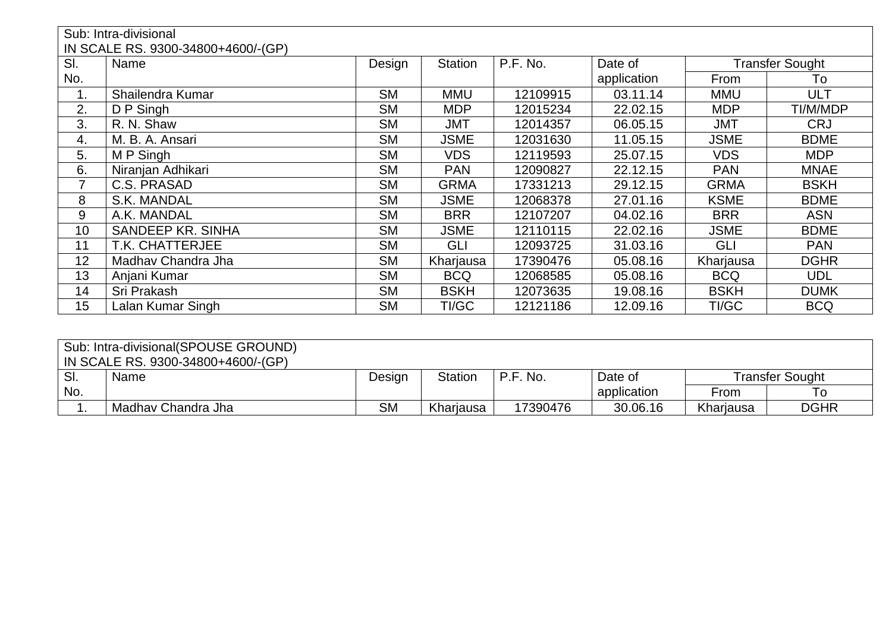|     | Sub: Intra-divisional              |           |                |          |             |             |                        |  |  |  |  |  |
|-----|------------------------------------|-----------|----------------|----------|-------------|-------------|------------------------|--|--|--|--|--|
|     | IN SCALE RS. 9300-34800+4600/-(GP) |           |                |          |             |             |                        |  |  |  |  |  |
| SI. | Name                               | Design    | <b>Station</b> | P.F. No. | Date of     |             | <b>Transfer Sought</b> |  |  |  |  |  |
| No. |                                    |           |                |          | application | From        | To                     |  |  |  |  |  |
| 1.  | Shailendra Kumar                   | <b>SM</b> | <b>MMU</b>     | 12109915 | 03.11.14    | <b>MMU</b>  | ULT                    |  |  |  |  |  |
| 2.  | D P Singh                          | <b>SM</b> | <b>MDP</b>     | 12015234 | 22.02.15    | <b>MDP</b>  | TI/M/MDP               |  |  |  |  |  |
| 3.  | R. N. Shaw                         | <b>SM</b> | <b>JMT</b>     | 12014357 | 06.05.15    | <b>JMT</b>  | <b>CRJ</b>             |  |  |  |  |  |
| 4.  | M. B. A. Ansari                    | <b>SM</b> | <b>JSME</b>    | 12031630 | 11.05.15    | <b>JSME</b> | <b>BDME</b>            |  |  |  |  |  |
| 5.  | M P Singh                          | <b>SM</b> | <b>VDS</b>     | 12119593 | 25.07.15    | <b>VDS</b>  | <b>MDP</b>             |  |  |  |  |  |
| 6.  | Niranjan Adhikari                  | <b>SM</b> | <b>PAN</b>     | 12090827 | 22.12.15    | <b>PAN</b>  | <b>MNAE</b>            |  |  |  |  |  |
| 7   | C.S. PRASAD                        | <b>SM</b> | <b>GRMA</b>    | 17331213 | 29.12.15    | <b>GRMA</b> | <b>BSKH</b>            |  |  |  |  |  |
| 8   | S.K. MANDAL                        | <b>SM</b> | <b>JSME</b>    | 12068378 | 27.01.16    | <b>KSME</b> | <b>BDME</b>            |  |  |  |  |  |
| 9   | A.K. MANDAL                        | <b>SM</b> | <b>BRR</b>     | 12107207 | 04.02.16    | <b>BRR</b>  | <b>ASN</b>             |  |  |  |  |  |
| 10  | SANDEEP KR. SINHA                  | <b>SM</b> | <b>JSME</b>    | 12110115 | 22.02.16    | <b>JSME</b> | <b>BDME</b>            |  |  |  |  |  |
| 11  | T.K. CHATTERJEE                    | <b>SM</b> | GLI            | 12093725 | 31.03.16    | GLI         | <b>PAN</b>             |  |  |  |  |  |
| 12  | Madhav Chandra Jha                 | <b>SM</b> | Kharjausa      | 17390476 | 05.08.16    | Kharjausa   | <b>DGHR</b>            |  |  |  |  |  |
| 13  | Anjani Kumar                       | <b>SM</b> | <b>BCQ</b>     | 12068585 | 05.08.16    | <b>BCQ</b>  | <b>UDL</b>             |  |  |  |  |  |
| 14  | Sri Prakash                        | <b>SM</b> | <b>BSKH</b>    | 12073635 | 19.08.16    | <b>BSKH</b> | <b>DUMK</b>            |  |  |  |  |  |
| 15  | Lalan Kumar Singh                  | <b>SM</b> | TI/GC          | 12121186 | 12.09.16    | TI/GC       | <b>BCQ</b>             |  |  |  |  |  |

| Sub: Intra-divisional(SPOUSE GROUND) |                                    |           |                |          |             |           |                 |  |  |  |  |
|--------------------------------------|------------------------------------|-----------|----------------|----------|-------------|-----------|-----------------|--|--|--|--|
|                                      | IN SCALE RS. 9300-34800+4600/-(GP) |           |                |          |             |           |                 |  |  |  |  |
| SI.                                  | Name                               | Design    | <b>Station</b> | P.F. No. | Date of     |           | Transfer Sought |  |  |  |  |
| No.                                  |                                    |           |                |          | application | From      | To              |  |  |  |  |
|                                      | Madhay Chandra Jha                 | <b>SM</b> | Kharjausa      | 17390476 | 30.06.16    | Kharjausa | <b>DGHR</b>     |  |  |  |  |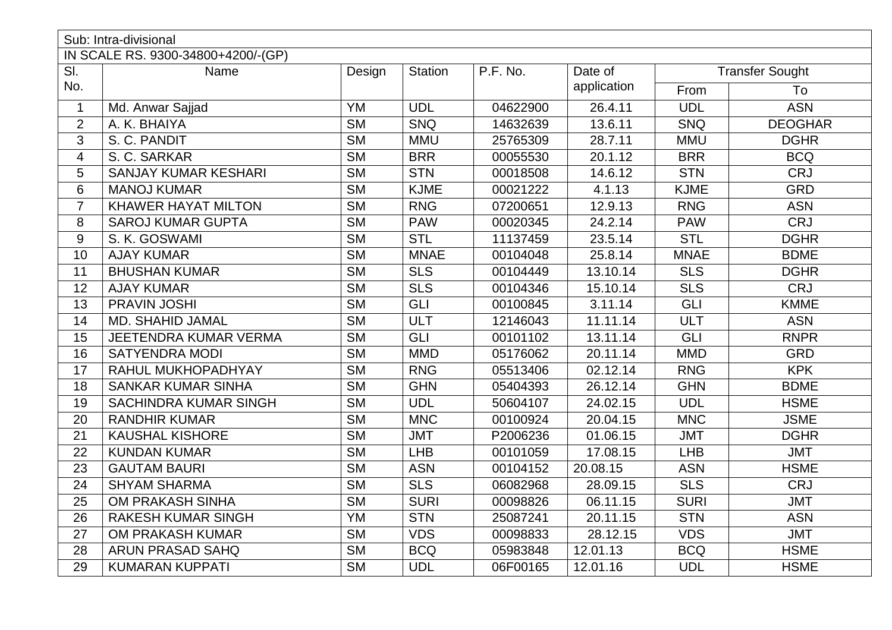|                         | Sub: Intra-divisional              |                        |                 |          |             |             |                        |
|-------------------------|------------------------------------|------------------------|-----------------|----------|-------------|-------------|------------------------|
|                         | IN SCALE RS. 9300-34800+4200/-(GP) |                        |                 |          |             |             |                        |
| SI.                     | Name                               | Design                 | <b>Station</b>  | P.F. No. | Date of     |             | <b>Transfer Sought</b> |
| No.                     |                                    |                        |                 |          | application | From        | To                     |
| $\mathbf{1}$            | Md. Anwar Sajjad                   | YM                     | <b>UDL</b>      | 04622900 | 26.4.11     | <b>UDL</b>  | <b>ASN</b>             |
| $\overline{2}$          | A. K. BHAIYA                       | <b>SM</b>              | S <sub>NQ</sub> | 14632639 | 13.6.11     | <b>SNQ</b>  | <b>DEOGHAR</b>         |
| 3                       | S. C. PANDIT                       | <b>SM</b>              | <b>MMU</b>      | 25765309 | 28.7.11     | <b>MMU</b>  | <b>DGHR</b>            |
| $\overline{\mathbf{4}}$ | S. C. SARKAR                       | <b>SM</b>              | <b>BRR</b>      | 00055530 | 20.1.12     | <b>BRR</b>  | <b>BCQ</b>             |
| 5                       | <b>SANJAY KUMAR KESHARI</b>        | <b>SM</b>              | <b>STN</b>      | 00018508 | 14.6.12     | <b>STN</b>  | <b>CRJ</b>             |
| 6                       | <b>MANOJ KUMAR</b>                 | <b>SM</b>              | <b>KJME</b>     | 00021222 | 4.1.13      | <b>KJME</b> | <b>GRD</b>             |
| $\overline{7}$          | <b>KHAWER HAYAT MILTON</b>         | $\overline{\text{SM}}$ | <b>RNG</b>      | 07200651 | 12.9.13     | <b>RNG</b>  | <b>ASN</b>             |
| 8                       | <b>SAROJ KUMAR GUPTA</b>           | <b>SM</b>              | <b>PAW</b>      | 00020345 | 24.2.14     | <b>PAW</b>  | <b>CRJ</b>             |
| 9                       | S. K. GOSWAMI                      | <b>SM</b>              | <b>STL</b>      | 11137459 | 23.5.14     | <b>STL</b>  | <b>DGHR</b>            |
| 10                      | <b>AJAY KUMAR</b>                  | $\overline{\text{SM}}$ | <b>MNAE</b>     | 00104048 | 25.8.14     | <b>MNAE</b> | <b>BDME</b>            |
| 11                      | <b>BHUSHAN KUMAR</b>               | <b>SM</b>              | <b>SLS</b>      | 00104449 | 13.10.14    | <b>SLS</b>  | <b>DGHR</b>            |
| 12                      | <b>AJAY KUMAR</b>                  | <b>SM</b>              | <b>SLS</b>      | 00104346 | 15.10.14    | <b>SLS</b>  | <b>CRJ</b>             |
| 13                      | PRAVIN JOSHI                       | <b>SM</b>              | GLI             | 00100845 | 3.11.14     | <b>GLI</b>  | <b>KMME</b>            |
| 14                      | <b>MD. SHAHID JAMAL</b>            | <b>SM</b>              | <b>ULT</b>      | 12146043 | 11.11.14    | <b>ULT</b>  | <b>ASN</b>             |
| 15                      | JEETENDRA KUMAR VERMA              | <b>SM</b>              | GLI             | 00101102 | 13.11.14    | GLI         | <b>RNPR</b>            |
| 16                      | <b>SATYENDRA MODI</b>              | $\overline{\text{SM}}$ | <b>MMD</b>      | 05176062 | 20.11.14    | <b>MMD</b>  | <b>GRD</b>             |
| 17                      | RAHUL MUKHOPADHYAY                 | <b>SM</b>              | <b>RNG</b>      | 05513406 | 02.12.14    | <b>RNG</b>  | <b>KPK</b>             |
| 18                      | <b>SANKAR KUMAR SINHA</b>          | $\overline{\text{SM}}$ | <b>GHN</b>      | 05404393 | 26.12.14    | <b>GHN</b>  | <b>BDME</b>            |
| 19                      | <b>SACHINDRA KUMAR SINGH</b>       | $\overline{\text{SM}}$ | <b>UDL</b>      | 50604107 | 24.02.15    | <b>UDL</b>  | <b>HSME</b>            |
| 20                      | <b>RANDHIR KUMAR</b>               | <b>SM</b>              | <b>MNC</b>      | 00100924 | 20.04.15    | <b>MNC</b>  | <b>JSME</b>            |
| 21                      | <b>KAUSHAL KISHORE</b>             | $\overline{\text{SM}}$ | <b>JMT</b>      | P2006236 | 01.06.15    | <b>JMT</b>  | <b>DGHR</b>            |
| 22                      | <b>KUNDAN KUMAR</b>                | <b>SM</b>              | LHB             | 00101059 | 17.08.15    | <b>LHB</b>  | <b>JMT</b>             |
| 23                      | <b>GAUTAM BAURI</b>                | <b>SM</b>              | <b>ASN</b>      | 00104152 | 20.08.15    | <b>ASN</b>  | <b>HSME</b>            |
| 24                      | <b>SHYAM SHARMA</b>                | <b>SM</b>              | <b>SLS</b>      | 06082968 | 28.09.15    | <b>SLS</b>  | <b>CRJ</b>             |
| 25                      | OM PRAKASH SINHA                   | <b>SM</b>              | <b>SURI</b>     | 00098826 | 06.11.15    | <b>SURI</b> | <b>JMT</b>             |
| 26                      | <b>RAKESH KUMAR SINGH</b>          | <b>YM</b>              | <b>STN</b>      | 25087241 | 20.11.15    | <b>STN</b>  | <b>ASN</b>             |
| 27                      | OM PRAKASH KUMAR                   | <b>SM</b>              | <b>VDS</b>      | 00098833 | 28.12.15    | <b>VDS</b>  | <b>JMT</b>             |
| 28                      | ARUN PRASAD SAHQ                   | <b>SM</b>              | <b>BCQ</b>      | 05983848 | 12.01.13    | <b>BCQ</b>  | <b>HSME</b>            |
| 29                      | <b>KUMARAN KUPPATI</b>             | <b>SM</b>              | <b>UDL</b>      | 06F00165 | 12.01.16    | <b>UDL</b>  | <b>HSME</b>            |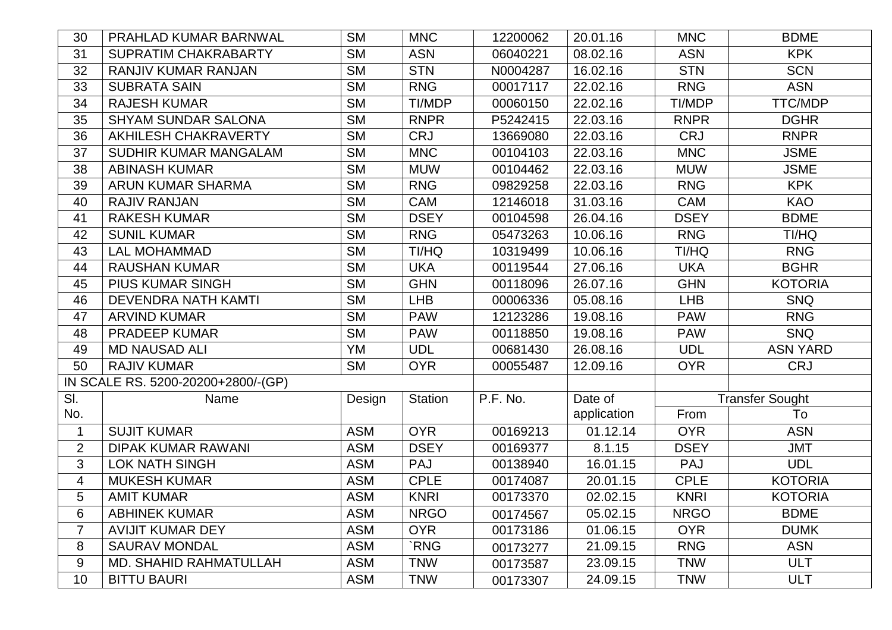| 30             | PRAHLAD KUMAR BARNWAL              | <b>SM</b>  | <b>MNC</b>     | 12200062 | 20.01.16    | <b>MNC</b>  | <b>BDME</b>            |
|----------------|------------------------------------|------------|----------------|----------|-------------|-------------|------------------------|
| 31             | <b>SUPRATIM CHAKRABARTY</b>        | <b>SM</b>  | <b>ASN</b>     | 06040221 | 08.02.16    | <b>ASN</b>  | <b>KPK</b>             |
| 32             | <b>RANJIV KUMAR RANJAN</b>         | <b>SM</b>  | <b>STN</b>     | N0004287 | 16.02.16    | <b>STN</b>  | <b>SCN</b>             |
| 33             | <b>SUBRATA SAIN</b>                | <b>SM</b>  | <b>RNG</b>     | 00017117 | 22.02.16    | <b>RNG</b>  | <b>ASN</b>             |
| 34             | <b>RAJESH KUMAR</b>                | <b>SM</b>  | TI/MDP         | 00060150 | 22.02.16    | TI/MDP      | <b>TTC/MDP</b>         |
| 35             | <b>SHYAM SUNDAR SALONA</b>         | <b>SM</b>  | <b>RNPR</b>    | P5242415 | 22.03.16    | <b>RNPR</b> | <b>DGHR</b>            |
| 36             | <b>AKHILESH CHAKRAVERTY</b>        | <b>SM</b>  | <b>CRJ</b>     | 13669080 | 22.03.16    | <b>CRJ</b>  | <b>RNPR</b>            |
| 37             | <b>SUDHIR KUMAR MANGALAM</b>       | <b>SM</b>  | <b>MNC</b>     | 00104103 | 22.03.16    | <b>MNC</b>  | <b>JSME</b>            |
| 38             | <b>ABINASH KUMAR</b>               | <b>SM</b>  | <b>MUW</b>     | 00104462 | 22.03.16    | <b>MUW</b>  | <b>JSME</b>            |
| 39             | <b>ARUN KUMAR SHARMA</b>           | <b>SM</b>  | <b>RNG</b>     | 09829258 | 22.03.16    | <b>RNG</b>  | <b>KPK</b>             |
| 40             | <b>RAJIV RANJAN</b>                | <b>SM</b>  | <b>CAM</b>     | 12146018 | 31.03.16    | <b>CAM</b>  | <b>KAO</b>             |
| 41             | <b>RAKESH KUMAR</b>                | <b>SM</b>  | <b>DSEY</b>    | 00104598 | 26.04.16    | <b>DSEY</b> | <b>BDME</b>            |
| 42             | <b>SUNIL KUMAR</b>                 | <b>SM</b>  | <b>RNG</b>     | 05473263 | 10.06.16    | <b>RNG</b>  | TI/HQ                  |
| 43             | <b>LAL MOHAMMAD</b>                | <b>SM</b>  | TI/HQ          | 10319499 | 10.06.16    | TI/HQ       | <b>RNG</b>             |
| 44             | <b>RAUSHAN KUMAR</b>               | <b>SM</b>  | <b>UKA</b>     | 00119544 | 27.06.16    | <b>UKA</b>  | <b>BGHR</b>            |
| 45             | <b>PIUS KUMAR SINGH</b>            | <b>SM</b>  | <b>GHN</b>     | 00118096 | 26.07.16    | <b>GHN</b>  | <b>KOTORIA</b>         |
| 46             | <b>DEVENDRA NATH KAMTI</b>         | <b>SM</b>  | LHB            | 00006336 | 05.08.16    | <b>LHB</b>  | <b>SNQ</b>             |
| 47             | <b>ARVIND KUMAR</b>                | <b>SM</b>  | <b>PAW</b>     | 12123286 | 19.08.16    | <b>PAW</b>  | <b>RNG</b>             |
| 48             | <b>PRADEEP KUMAR</b>               | <b>SM</b>  | <b>PAW</b>     | 00118850 | 19.08.16    | <b>PAW</b>  | <b>SNQ</b>             |
| 49             | <b>MD NAUSAD ALI</b>               | <b>YM</b>  | <b>UDL</b>     | 00681430 | 26.08.16    | <b>UDL</b>  | <b>ASN YARD</b>        |
| 50             | <b>RAJIV KUMAR</b>                 | <b>SM</b>  | <b>OYR</b>     | 00055487 | 12.09.16    | <b>OYR</b>  | <b>CRJ</b>             |
|                | IN SCALE RS. 5200-20200+2800/-(GP) |            |                |          |             |             |                        |
| SI.            | Name                               | Design     | <b>Station</b> | P.F. No. | Date of     |             | <b>Transfer Sought</b> |
| No.            |                                    |            |                |          | application | From        | To                     |
| 1              | <b>SUJIT KUMAR</b>                 | <b>ASM</b> | <b>OYR</b>     | 00169213 | 01.12.14    | <b>OYR</b>  | <b>ASN</b>             |
| $\overline{2}$ | <b>DIPAK KUMAR RAWANI</b>          | <b>ASM</b> | <b>DSEY</b>    | 00169377 | 8.1.15      | <b>DSEY</b> | <b>JMT</b>             |
| 3              | <b>LOK NATH SINGH</b>              | <b>ASM</b> | <b>PAJ</b>     | 00138940 | 16.01.15    | <b>PAJ</b>  | <b>UDL</b>             |
| 4              | <b>MUKESH KUMAR</b>                | <b>ASM</b> | <b>CPLE</b>    | 00174087 | 20.01.15    | <b>CPLE</b> | <b>KOTORIA</b>         |
| 5              | <b>AMIT KUMAR</b>                  | <b>ASM</b> | <b>KNRI</b>    | 00173370 | 02.02.15    | <b>KNRI</b> | <b>KOTORIA</b>         |
| 6              | <b>ABHINEK KUMAR</b>               | <b>ASM</b> | <b>NRGO</b>    | 00174567 | 05.02.15    | <b>NRGO</b> | <b>BDME</b>            |
| $\overline{7}$ | <b>AVIJIT KUMAR DEY</b>            | <b>ASM</b> | <b>OYR</b>     | 00173186 | 01.06.15    | <b>OYR</b>  | <b>DUMK</b>            |
| 8              | <b>SAURAV MONDAL</b>               | <b>ASM</b> | `RNG           | 00173277 | 21.09.15    | <b>RNG</b>  | <b>ASN</b>             |
| 9              | <b>MD. SHAHID RAHMATULLAH</b>      | <b>ASM</b> | <b>TNW</b>     | 00173587 | 23.09.15    | <b>TNW</b>  | <b>ULT</b>             |
| 10             | <b>BITTU BAURI</b>                 | <b>ASM</b> | <b>TNW</b>     | 00173307 | 24.09.15    | <b>TNW</b>  | <b>ULT</b>             |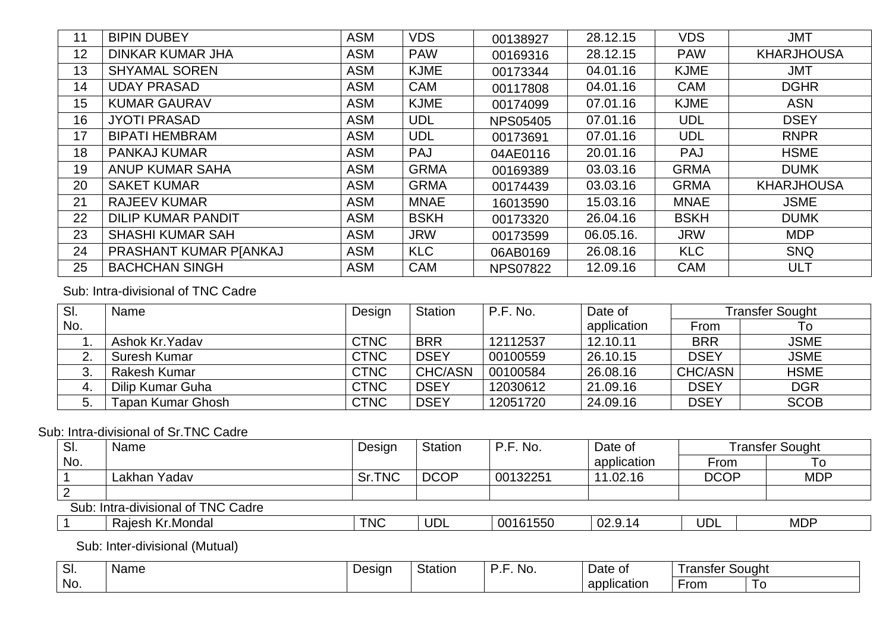| 11 | <b>BIPIN DUBEY</b>        | <b>ASM</b> | <b>VDS</b>  | 00138927        | 28.12.15  | <b>VDS</b>  | <b>JMT</b>        |
|----|---------------------------|------------|-------------|-----------------|-----------|-------------|-------------------|
| 12 | <b>DINKAR KUMAR JHA</b>   | <b>ASM</b> | <b>PAW</b>  | 00169316        | 28.12.15  | <b>PAW</b>  | <b>KHARJHOUSA</b> |
| 13 | <b>SHYAMAL SOREN</b>      | <b>ASM</b> | <b>KJME</b> | 00173344        | 04.01.16  | <b>KJME</b> | <b>JMT</b>        |
| 14 | <b>UDAY PRASAD</b>        | <b>ASM</b> | <b>CAM</b>  | 00117808        | 04.01.16  | <b>CAM</b>  | <b>DGHR</b>       |
| 15 | <b>KUMAR GAURAV</b>       | <b>ASM</b> | <b>KJME</b> | 00174099        | 07.01.16  | <b>KJME</b> | <b>ASN</b>        |
| 16 | <b>JYOTI PRASAD</b>       | <b>ASM</b> | <b>UDL</b>  | <b>NPS05405</b> | 07.01.16  | <b>UDL</b>  | <b>DSEY</b>       |
| 17 | <b>BIPATI HEMBRAM</b>     | <b>ASM</b> | <b>UDL</b>  | 00173691        | 07.01.16  | <b>UDL</b>  | <b>RNPR</b>       |
| 18 | <b>PANKAJ KUMAR</b>       | <b>ASM</b> | <b>PAJ</b>  | 04AE0116        | 20.01.16  | <b>PAJ</b>  | <b>HSME</b>       |
| 19 | <b>ANUP KUMAR SAHA</b>    | <b>ASM</b> | <b>GRMA</b> | 00169389        | 03.03.16  | <b>GRMA</b> | <b>DUMK</b>       |
| 20 | <b>SAKET KUMAR</b>        | <b>ASM</b> | <b>GRMA</b> | 00174439        | 03.03.16  | <b>GRMA</b> | <b>KHARJHOUSA</b> |
| 21 | <b>RAJEEV KUMAR</b>       | <b>ASM</b> | <b>MNAE</b> | 16013590        | 15.03.16  | <b>MNAE</b> | <b>JSME</b>       |
| 22 | <b>DILIP KUMAR PANDIT</b> | <b>ASM</b> | <b>BSKH</b> | 00173320        | 26.04.16  | <b>BSKH</b> | <b>DUMK</b>       |
| 23 | <b>SHASHI KUMAR SAH</b>   | <b>ASM</b> | <b>JRW</b>  | 00173599        | 06.05.16. | <b>JRW</b>  | <b>MDP</b>        |
| 24 | PRASHANT KUMAR PJANKAJ    | <b>ASM</b> | <b>KLC</b>  | 06AB0169        | 26.08.16  | <b>KLC</b>  | <b>SNQ</b>        |
| 25 | <b>BACHCHAN SINGH</b>     | <b>ASM</b> | <b>CAM</b>  | <b>NPS07822</b> | 12.09.16  | <b>CAM</b>  | <b>ULT</b>        |

## Sub: Intra-divisional of TNC Cadre

| SI.            | Name              | Design      | <b>Station</b> | P.F. No. | Date of     |             | Transfer Sought |
|----------------|-------------------|-------------|----------------|----------|-------------|-------------|-----------------|
| No.            |                   |             |                |          | application | From        |                 |
|                | Ashok Kr. Yadav   | <b>CTNC</b> | <b>BRR</b>     | 12112537 | 12.10.11    | <b>BRR</b>  | <b>JSME</b>     |
| C.<br><u>.</u> | Suresh Kumar      | <b>CTNC</b> | <b>DSEY</b>    | 00100559 | 26.10.15    | <b>DSEY</b> | <b>JSME</b>     |
| ົ<br>ು.        | Rakesh Kumar      | <b>CTNC</b> | <b>CHC/ASN</b> | 00100584 | 26.08.16    | CHC/ASN     | <b>HSME</b>     |
| 4.             | Dilip Kumar Guha  | <b>CTNC</b> | <b>DSEY</b>    | 12030612 | 21.09.16    | <b>DSEY</b> | <b>DGR</b>      |
| 5.             | Tapan Kumar Ghosh | <b>CTNC</b> | <b>DSEY</b>    | 12051720 | 24.09.16    | <b>DSEY</b> | <b>SCOB</b>     |

## Sub: Intra-divisional of Sr.TNC Cadre

| SI. | Name                               | Design     | <b>Station</b> | P.F. No. | Date of     |             | <b>Transfer Sought</b> |
|-----|------------------------------------|------------|----------------|----------|-------------|-------------|------------------------|
| No. |                                    |            |                |          | application | From        | l c                    |
|     | Lakhan Yadav                       | Sr.TNC     | <b>DCOP</b>    | 00132251 | 11.02.16    | <b>DCOP</b> | <b>MDP</b>             |
|     |                                    |            |                |          |             |             |                        |
|     | Sub: Intra-divisional of TNC Cadre |            |                |          |             |             |                        |
|     | Rajesh Kr.Mondal                   | <b>TNC</b> | <b>UDL</b>     | 00161550 | 02.9.14     | <b>UDL</b>  | <b>MDP</b>             |

Sub: Inter-divisional (Mutual)

| $\sim$<br>.וס | Name | Desigr | Station | NO.<br>. . | Date of          | l ranster | : Souaht |
|---------------|------|--------|---------|------------|------------------|-----------|----------|
| No.           |      |        |         |            | .<br>application | rom.      |          |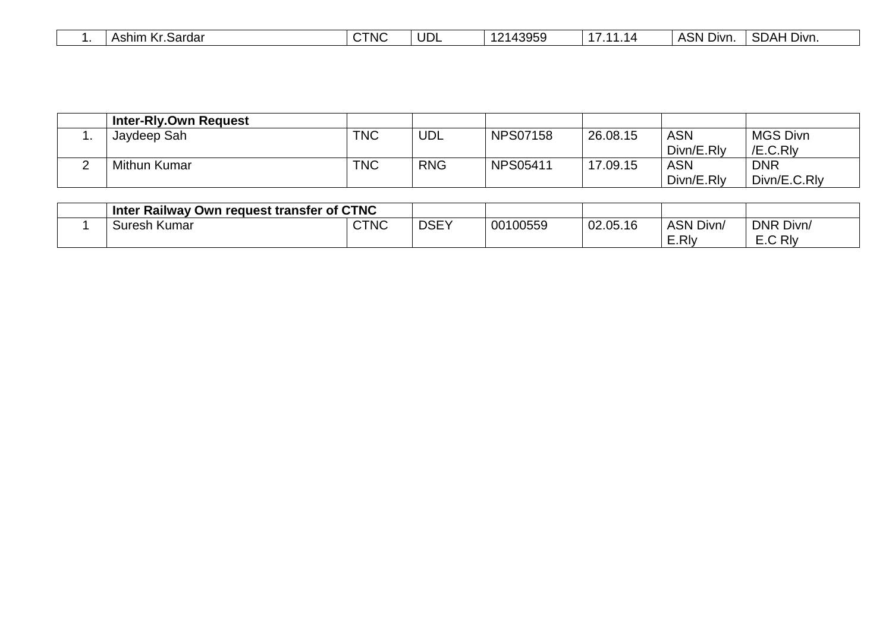|  | Ashim<br>Kr.Sardar<br>. I <i>I</i> r<br>n. | <b>CTNC</b> | UDL | 12143959 | . .<br>14 | $A$ SN $\Gamma$<br>Divn. | SDAH Divn. |  |
|--|--------------------------------------------|-------------|-----|----------|-----------|--------------------------|------------|--|
|--|--------------------------------------------|-------------|-----|----------|-----------|--------------------------|------------|--|

|   | <b>Inter-Rly.Own Request</b> |            |            |                 |          |            |                 |
|---|------------------------------|------------|------------|-----------------|----------|------------|-----------------|
|   | Jaydeep Sah                  | <b>TNC</b> | <b>UDL</b> | <b>NPS07158</b> | 26.08.15 | <b>ASN</b> | <b>MGS Divn</b> |
|   |                              |            |            |                 |          | Divn/E.Rly | /E.C.RIv        |
| _ | <b>Mithun Kumar</b>          | <b>TNC</b> | <b>RNG</b> | <b>NPS05411</b> | 17.09.15 | <b>ASN</b> | <b>DNR</b>      |
|   |                              |            |            |                 |          | Divn/E.Rly | Divn/E.C.Rly    |

| Inter Railway Own request transfer of CTNC |      |             |          |          |                  |           |
|--------------------------------------------|------|-------------|----------|----------|------------------|-----------|
| Suresh Kumar                               | CTNC | <b>DSEY</b> | 00100559 | 02.05.16 | <b>ASN Divn/</b> | DNR Divn/ |
|                                            |      |             |          |          | $\subset$ .RIv   | E.C Rly   |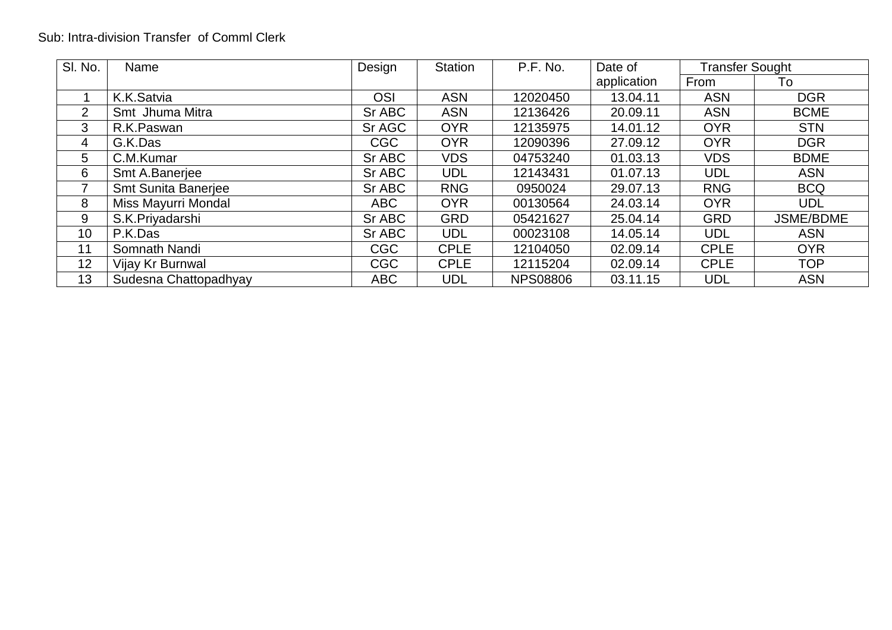## Sub: Intra-division Transfer of Comml Clerk

| SI. No.        | Name                  | Design     | <b>Station</b> | P.F. No.        | Date of     | <b>Transfer Sought</b> |                  |
|----------------|-----------------------|------------|----------------|-----------------|-------------|------------------------|------------------|
|                |                       |            |                |                 | application | From                   | To               |
|                | K.K.Satvia            | <b>OSI</b> | <b>ASN</b>     | 12020450        | 13.04.11    | <b>ASN</b>             | <b>DGR</b>       |
| $\overline{2}$ | Smt Jhuma Mitra       | Sr ABC     | <b>ASN</b>     | 12136426        | 20.09.11    | <b>ASN</b>             | <b>BCME</b>      |
| 3              | R.K.Paswan            | Sr AGC     | <b>OYR</b>     | 12135975        | 14.01.12    | <b>OYR</b>             | <b>STN</b>       |
| 4              | G.K.Das               | <b>CGC</b> | <b>OYR</b>     | 12090396        | 27.09.12    | <b>OYR</b>             | <b>DGR</b>       |
| 5              | C.M.Kumar             | Sr ABC     | <b>VDS</b>     | 04753240        | 01.03.13    | <b>VDS</b>             | <b>BDME</b>      |
| 6              | Smt A.Banerjee        | Sr ABC     | <b>UDL</b>     | 12143431        | 01.07.13    | <b>UDL</b>             | <b>ASN</b>       |
| 7              | Smt Sunita Banerjee   | Sr ABC     | <b>RNG</b>     | 0950024         | 29.07.13    | <b>RNG</b>             | <b>BCQ</b>       |
| 8              | Miss Mayurri Mondal   | <b>ABC</b> | <b>OYR</b>     | 00130564        | 24.03.14    | <b>OYR</b>             | <b>UDL</b>       |
| 9              | S.K.Priyadarshi       | Sr ABC     | <b>GRD</b>     | 05421627        | 25.04.14    | <b>GRD</b>             | <b>JSME/BDME</b> |
| 10             | P.K.Das               | Sr ABC     | <b>UDL</b>     | 00023108        | 14.05.14    | <b>UDL</b>             | <b>ASN</b>       |
| 11             | Somnath Nandi         | <b>CGC</b> | <b>CPLE</b>    | 12104050        | 02.09.14    | <b>CPLE</b>            | <b>OYR</b>       |
| 12             | Vijay Kr Burnwal      | <b>CGC</b> | <b>CPLE</b>    | 12115204        | 02.09.14    | <b>CPLE</b>            | <b>TOP</b>       |
| 13             | Sudesna Chattopadhyay | <b>ABC</b> | UDL            | <b>NPS08806</b> | 03.11.15    | <b>UDL</b>             | <b>ASN</b>       |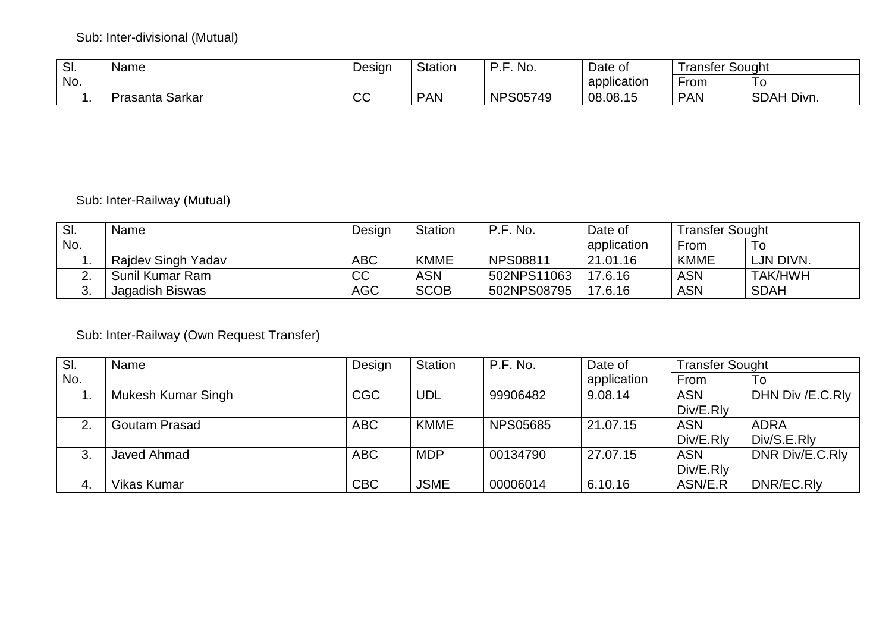## Sub: Inter-divisional (Mutual)

| SI. | Name               | Design   | <b>Station</b> | D E<br>No.<br>. . | Date of            | ! ranster Sought |            |
|-----|--------------------|----------|----------------|-------------------|--------------------|------------------|------------|
| No. |                    |          |                |                   | . .<br>application | -rom             | 10         |
|     | Sarkar<br>Prasanta | ∩∩<br>◡◡ | <b>PAN</b>     | <b>NPS05749</b>   | 08.08.15           | <b>PAN</b>       | SDAH Divn. |

## Sub: Inter-Railway (Mutual)

| SI.      | Name               | Design     | Station     | P.F. No.    | Date of     | <b>Transfer Sought</b> |             |
|----------|--------------------|------------|-------------|-------------|-------------|------------------------|-------------|
| No.      |                    |            |             |             | application | From                   | To          |
|          | Rajdev Singh Yadav | <b>ABC</b> | <b>KMME</b> | NPS08811    | 21.01.16    | <b>KMME</b>            | LJN DIVN.   |
| <u>.</u> | Sunil Kumar Ram    | CC         | ASN         | 502NPS11063 | 17.6.16     | <b>ASN</b>             | TAK/HWH     |
| J.       | Jagadish Biswas    | <b>AGC</b> | <b>SCOB</b> | 502NPS08795 | 17.6.16     | <b>ASN</b>             | <b>SDAH</b> |

## Sub: Inter-Railway (Own Request Transfer)

| SI. | Name                 | Design     | <b>Station</b> | P.F. No.        | Date of     | <b>Transfer Sought</b> |                  |
|-----|----------------------|------------|----------------|-----------------|-------------|------------------------|------------------|
| No. |                      |            |                |                 | application | From                   | To               |
|     | Mukesh Kumar Singh   | CGC        | <b>UDL</b>     | 99906482        | 9.08.14     | <b>ASN</b>             | DHN Div /E.C.Rly |
|     |                      |            |                |                 |             | Div/E.RIv              |                  |
| ⌒   | <b>Goutam Prasad</b> | <b>ABC</b> | <b>KMME</b>    | <b>NPS05685</b> | 21.07.15    | <b>ASN</b>             | ADRA             |
|     |                      |            |                |                 |             | Div/E.RIv              | Div/S.E.RIv      |
| 3   | Javed Ahmad          | <b>ABC</b> | <b>MDP</b>     | 00134790        | 27.07.15    | <b>ASN</b>             | DNR Div/E.C.Rly  |
|     |                      |            |                |                 |             | Div/E.RIv              |                  |
| -4. | <b>Vikas Kumar</b>   | <b>CBC</b> | <b>JSME</b>    | 00006014        | 6.10.16     | ASN/E.R                | DNR/EC.RIv       |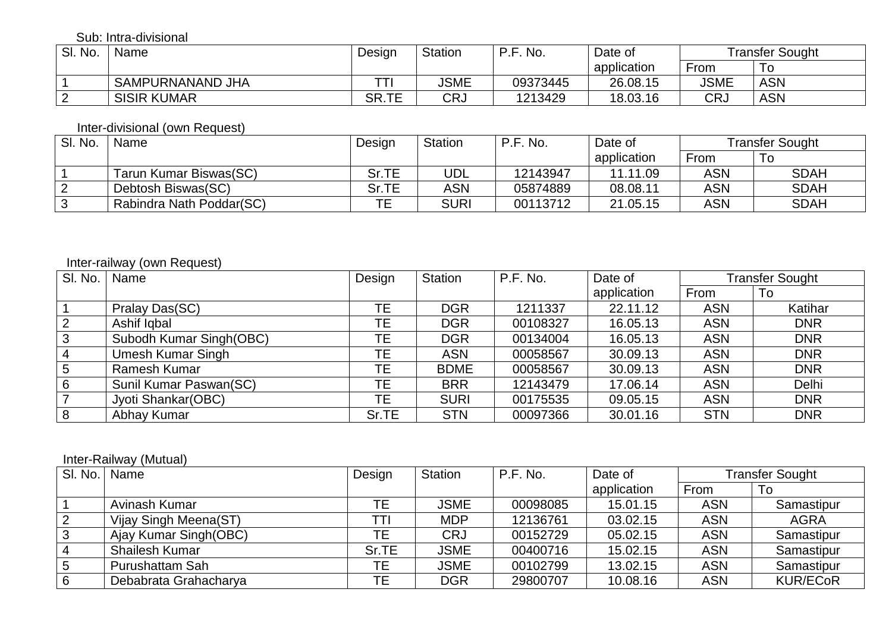Sub: Intra-divisional

| SI. No. | Name               | Design | <b>Station</b> | No.<br>D E I | Date of     |      | Transfer Sought |
|---------|--------------------|--------|----------------|--------------|-------------|------|-----------------|
|         |                    |        |                |              | application | From | To              |
|         | SAMPURNANAND JHA   | ᅲ      | JSME           | 09373445     | 26.08.15    | JSME | <b>ASN</b>      |
|         | <b>SISIR KUMAR</b> | SR.TE  | CRJ            | 1213429      | 18.03.16    | CRJ  | <b>ASN</b>      |

#### Inter-divisional (own Request)

| SI. No. | Name                     | Design | <b>Station</b> | P.F. No. | Date of     |            | Transfer Sought |
|---------|--------------------------|--------|----------------|----------|-------------|------------|-----------------|
|         |                          |        |                |          | application | From       | To              |
|         | Tarun Kumar Biswas(SC)   | Sr.TE  | UDL            | 12143947 | 11.11.09    | <b>ASN</b> | <b>SDAH</b>     |
|         | Debtosh Biswas(SC)       | Sr.TE  | ASN            | 05874889 | 08.08.11    | <b>ASN</b> | <b>SDAH</b>     |
|         | Rabindra Nath Poddar(SC) |        | <b>SURI</b>    | 00113712 | 21.05.15    | <b>ASN</b> | <b>SDAH</b>     |

## Inter-railway (own Request)

| SI. No.         | Name                    | Design    | <b>Station</b> | P.F. No. | Date of     |            | <b>Transfer Sought</b> |
|-----------------|-------------------------|-----------|----------------|----------|-------------|------------|------------------------|
|                 |                         |           |                |          | application | From       | To                     |
|                 | Pralay Das(SC)          | TЕ        | <b>DGR</b>     | 1211337  | 22.11.12    | <b>ASN</b> | Katihar                |
| $\sqrt{2}$      | Ashif Iqbal             | TЕ        | <b>DGR</b>     | 00108327 | 16.05.13    | <b>ASN</b> | <b>DNR</b>             |
| $\mathbf{3}$    | Subodh Kumar Singh(OBC) | ТE        | <b>DGR</b>     | 00134004 | 16.05.13    | <b>ASN</b> | <b>DNR</b>             |
| $\overline{4}$  | Umesh Kumar Singh       | ТE        | <b>ASN</b>     | 00058567 | 30.09.13    | <b>ASN</b> | <b>DNR</b>             |
| $5\overline{5}$ | Ramesh Kumar            | TE        | <b>BDME</b>    | 00058567 | 30.09.13    | <b>ASN</b> | <b>DNR</b>             |
| 6               | Sunil Kumar Paswan(SC)  | <b>TE</b> | <b>BRR</b>     | 12143479 | 17.06.14    | <b>ASN</b> | Delhi                  |
| $\overline{7}$  | Jyoti Shankar(OBC)      | ТE        | <b>SURI</b>    | 00175535 | 09.05.15    | <b>ASN</b> | <b>DNR</b>             |
| 8               | Abhay Kumar             | Sr.TE     | <b>STN</b>     | 00097366 | 30.01.16    | <b>STN</b> | <b>DNR</b>             |

## Inter-Railway (Mutual)

|    | SI. No.   Name         | Design | <b>Station</b> | P.F. No. | Date of     |            | Transfer Sought |
|----|------------------------|--------|----------------|----------|-------------|------------|-----------------|
|    |                        |        |                |          | application | From       | 10              |
|    | Avinash Kumar          | TE.    | JSME           | 00098085 | 15.01.15    | <b>ASN</b> | Samastipur      |
| 2  | Vijay Singh Meena(ST)  | וד־    | <b>MDP</b>     | 12136761 | 03.02.15    | <b>ASN</b> | <b>AGRA</b>     |
|    | Ajay Kumar Singh (OBC) | TЕ     | <b>CRJ</b>     | 00152729 | 05.02.15    | <b>ASN</b> | Samastipur      |
| 4  | <b>Shailesh Kumar</b>  | Sr.TE  | JSME           | 00400716 | 15.02.15    | <b>ASN</b> | Samastipur      |
| -5 | <b>Purushattam Sah</b> | ТE     | <b>JSME</b>    | 00102799 | 13.02.15    | <b>ASN</b> | Samastipur      |
| 6  | Debabrata Grahacharya  | TЕ     | <b>DGR</b>     | 29800707 | 10.08.16    | <b>ASN</b> | <b>KUR/ECoR</b> |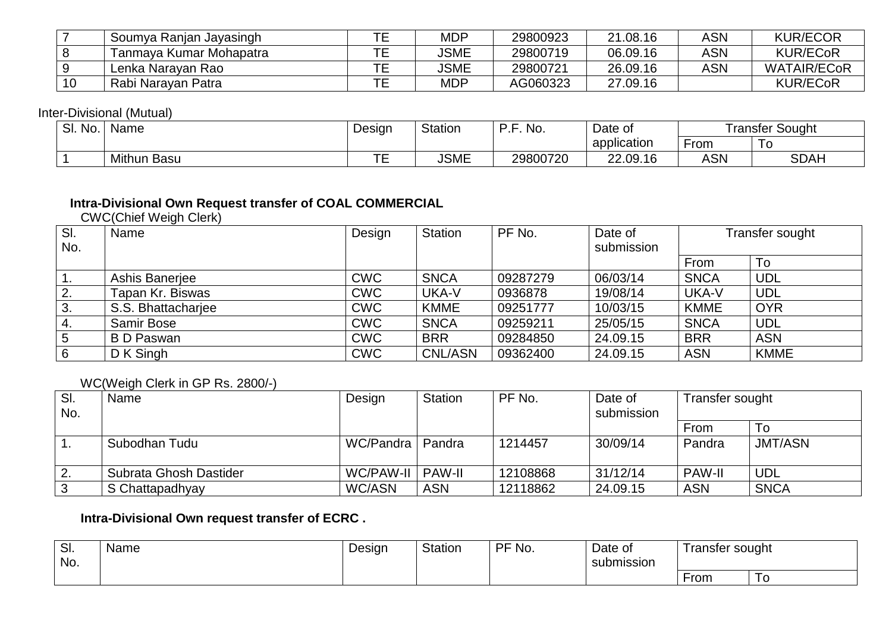|     | Soumya Ranjan Jayasingh | ᆍ | MDP         | 29800923 | 21.08.16 | ASN | <b>KUR/ECOR</b>    |
|-----|-------------------------|---|-------------|----------|----------|-----|--------------------|
| 8 ا | Tanmaya Kumar Mohapatra |   | <b>JSME</b> | 29800719 | 06.09.16 | ASN | <b>KUR/ECoR</b>    |
|     | Lenka Narayan Rao       |   | <b>JSME</b> | 29800721 | 26.09.16 | ASN | <b>WATAIR/ECoR</b> |
| 10  | Rabi Narayan Patra      | ᆍ | <b>MDP</b>  | AG060323 | 27.09.16 |     | <b>KUR/ECoR</b>    |

Inter-Divisional (Mutual)

| No.<br>SI. | Name               | Design         | Station     | No.<br>D E<br>. . | Date of     |           | Sought<br>ranster |
|------------|--------------------|----------------|-------------|-------------------|-------------|-----------|-------------------|
|            |                    |                |             |                   | application | _<br>From |                   |
|            | <b>Mithun Basu</b> | --<br>-<br>. . | <b>JSME</b> | 29800720          | 22.09.16    | ASN       | <b>SDAH</b>       |

# **Intra-Divisional Own Request transfer of COAL COMMERCIAL**  CWC(Chief Weigh Clerk)

| SI.             | Name               | Design     | Station        | PF No.   | Date of    |             | Transfer sought |
|-----------------|--------------------|------------|----------------|----------|------------|-------------|-----------------|
| No.             |                    |            |                |          | submission |             |                 |
|                 |                    |            |                |          |            | From        | To              |
| . .             | Ashis Banerjee     | <b>CWC</b> | <b>SNCA</b>    | 09287279 | 06/03/14   | <b>SNCA</b> | <b>UDL</b>      |
| 2.              | Tapan Kr. Biswas   | <b>CWC</b> | UKA-V          | 0936878  | 19/08/14   | UKA-V       | <b>UDL</b>      |
| 3.              | S.S. Bhattachariee | <b>CWC</b> | <b>KMME</b>    | 09251777 | 10/03/15   | <b>KMME</b> | <b>OYR</b>      |
| 4.              | Samir Bose         | <b>CWC</b> | <b>SNCA</b>    | 09259211 | 25/05/15   | <b>SNCA</b> | <b>UDL</b>      |
| $5\overline{)}$ | BD Paswan          | <b>CWC</b> | <b>BRR</b>     | 09284850 | 24.09.15   | <b>BRR</b>  | <b>ASN</b>      |
| 6               | D K Singh          | <b>CWC</b> | <b>CNL/ASN</b> | 09362400 | 24.09.15   | <b>ASN</b>  | <b>KMME</b>     |

#### WC(Weigh Clerk in GP Rs. 2800/-)

| SI.<br>No. | Name                   | Design        | <b>Station</b> | PF No.   | Date of<br>submission | Transfer sought |                |
|------------|------------------------|---------------|----------------|----------|-----------------------|-----------------|----------------|
|            |                        |               |                |          |                       | From            | To             |
|            | Subodhan Tudu          | WC/Pandra     | <b>Pandra</b>  | 1214457  | 30/09/14              | Pandra          | <b>JMT/ASN</b> |
| 2.         | Subrata Ghosh Dastider | WC/PAW-II     | <b>PAW-II</b>  | 12108868 | 31/12/14              | <b>PAW-II</b>   | UDL            |
| 3          | S Chattapadhyay        | <b>WC/ASN</b> | <b>ASN</b>     | 12118862 | 24.09.15              | <b>ASN</b>      | <b>SNCA</b>    |

## **Intra-Divisional Own request transfer of ECRC .**

| $\sim$<br>ၪ.<br>No. | Name | Design | <b>Statior</b> | DE<br>⊺ No. | Date of<br>submission | ' ranster sought | $\overline{\phantom{a}}$ |
|---------------------|------|--------|----------------|-------------|-----------------------|------------------|--------------------------|
|                     |      |        |                |             |                       | ∙rom             |                          |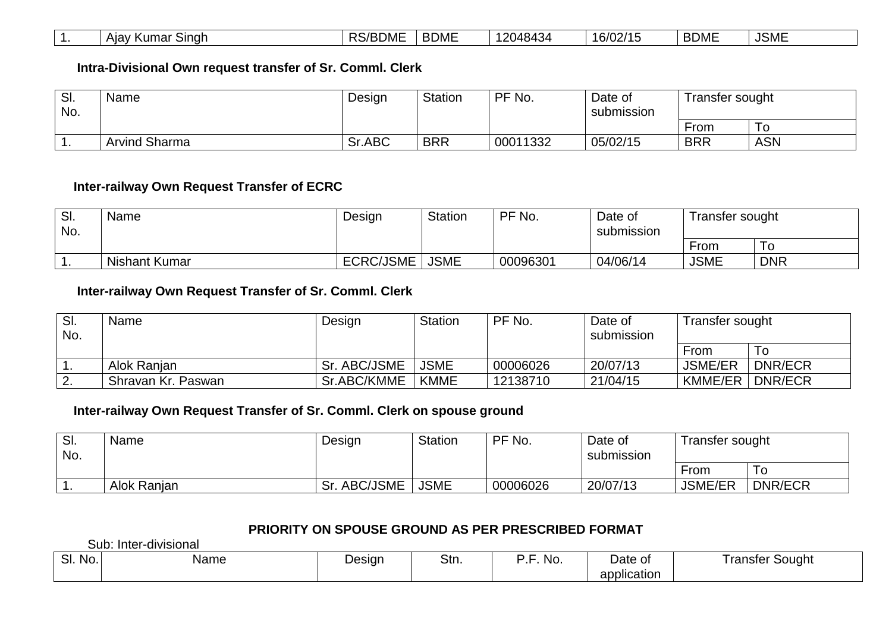|  | Alav<br>Sinah<br>$\mathbf{z}$<br>mar<br>ושיו | <b>DC/ROME</b><br>'DUIVIL<br>NO, | <b>BDME</b> | $^{\circ}$ ?048434 | 16/02/15<br>ں ا | <b>BDME</b> | <b>JSME</b> |
|--|----------------------------------------------|----------------------------------|-------------|--------------------|-----------------|-------------|-------------|
|--|----------------------------------------------|----------------------------------|-------------|--------------------|-----------------|-------------|-------------|

#### **Intra-Divisional Own request transfer of Sr. Comml. Clerk**

| SI.<br>No. | Name                 | Design | Station    | PF No.   | Date of<br>submission | Transfer sought |     |
|------------|----------------------|--------|------------|----------|-----------------------|-----------------|-----|
|            |                      |        |            |          |                       | From            | 10  |
| . .        | <b>Arvind Sharma</b> | Sr.ABC | <b>BRR</b> | 00011332 | 05/02/15              | <b>BRR</b>      | ASN |

#### **Inter-railway Own Request Transfer of ECRC**

| SI.<br>No. | <b>Name</b>          | Design           | <b>Station</b> | PF No.   | Date of<br>submission | Transfer sought |            |
|------------|----------------------|------------------|----------------|----------|-----------------------|-----------------|------------|
|            |                      |                  |                |          |                       | From            | 10         |
|            | <b>Nishant Kumar</b> | <b>ECRC/JSME</b> | <b>JSME</b>    | 00096301 | 04/06/14              | <b>JSME</b>     | <b>DNR</b> |

## **Inter-railway Own Request Transfer of Sr. Comml. Clerk**

| SI.<br>No. | Name               | Design            | <b>Station</b> | PF No.   | Date of<br>submission | Transfer sought |                |
|------------|--------------------|-------------------|----------------|----------|-----------------------|-----------------|----------------|
|            |                    |                   |                |          |                       | From            | 10             |
|            | Alok Ranjan        | . ABC/JSME<br>Sr. | <b>JSME</b>    | 00006026 | 20/07/13              | <b>JSME/ER</b>  | <b>DNR/ECR</b> |
|            | Shravan Kr. Paswan | Sr.ABC/KMME       | KMME           | 12138710 | 21/04/15              | <b>KMME/ER</b>  | <b>DNR/ECR</b> |
|            |                    |                   |                |          |                       |                 |                |

#### **Inter-railway Own Request Transfer of Sr. Comml. Clerk on spouse ground**

| SI.<br>No. | Name        | Design         | <b>Station</b> | PF No.   | Date of<br>submission | Transfer sought |                |
|------------|-------------|----------------|----------------|----------|-----------------------|-----------------|----------------|
|            |             |                |                |          |                       | From            | ΙO             |
|            | Alok Ranjan | ABC/JSME<br>Sr | <b>JSME</b>    | 00006026 | 20/07/13              | <b>JSME/ER</b>  | <b>DNR/ECR</b> |

## **PRIORITY ON SPOUSE GROUND AS PER PRESCRIBED FORMAT**

Sub: Inter-divisional

| . .<br>$\sim$<br>No.<br>. ا ب | Name | Design | – Stn. | NO. | Date of                                                                                                                        | Sought<br>ran<br>.nster |
|-------------------------------|------|--------|--------|-----|--------------------------------------------------------------------------------------------------------------------------------|-------------------------|
|                               |      |        |        |     | the contract of the contract of the contract of the contract of the contract of the contract of the contract of<br>application |                         |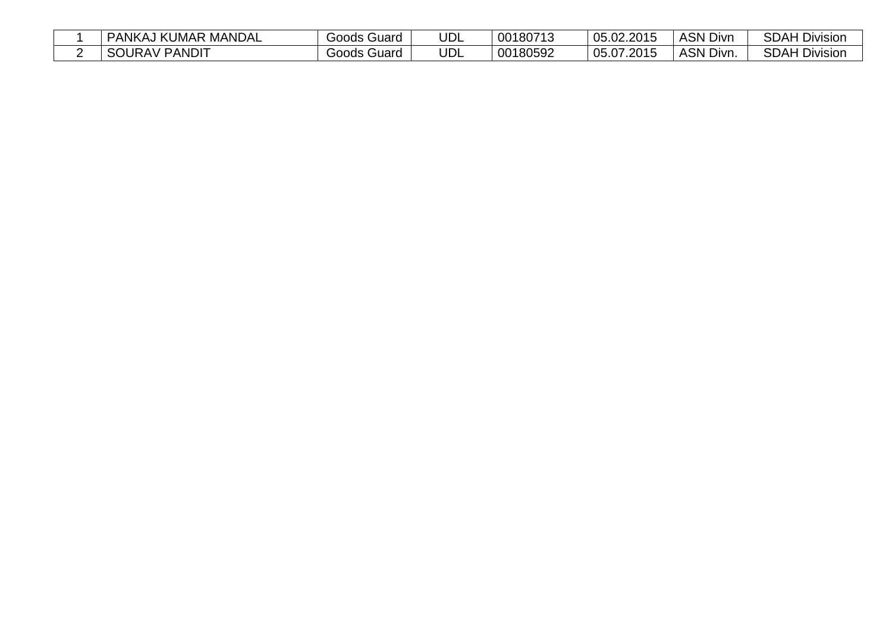| I KUMAR MANDAL<br>יANKA∽  | Guard<br>Goods. | UDL | 00180713 | 05.02.2015        | <b>ASN Divn</b>  | <b>SDAH Div</b><br>Division |
|---------------------------|-----------------|-----|----------|-------------------|------------------|-----------------------------|
| ' PANDIT<br><b>SOURAV</b> | Guard<br>Goods  | UDL | 00180592 | .07.2015<br>05.07 | <b>ASN Divn.</b> | <b>SDAH Division</b>        |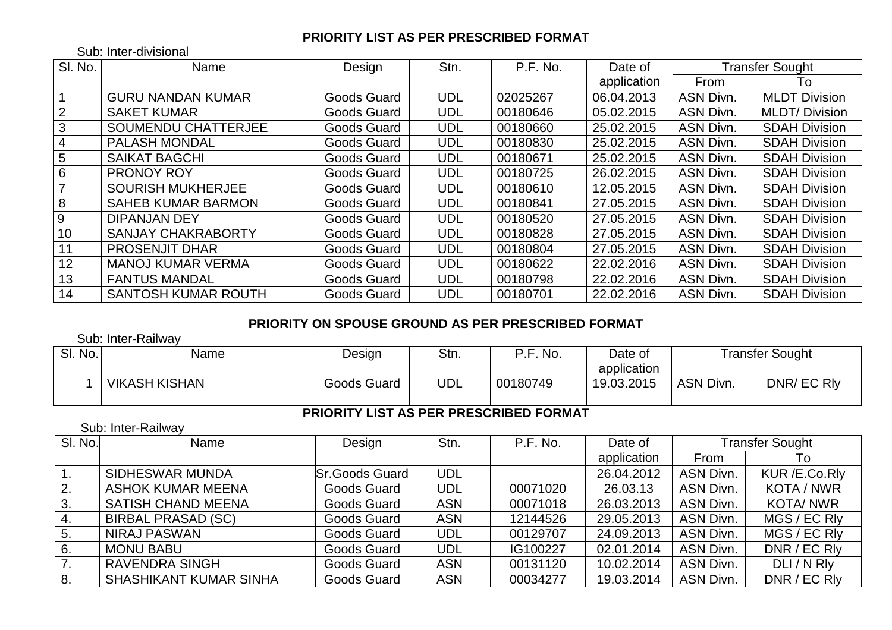## **PRIORITY LIST AS PER PRESCRIBED FORMAT**

Sub: Inter-divisional

| SI. No. | Name                       | Design      | Stn.       | P.F. No. | Date of     |                  | <b>Transfer Sought</b> |
|---------|----------------------------|-------------|------------|----------|-------------|------------------|------------------------|
|         |                            |             |            |          | application | From             | To                     |
|         | <b>GURU NANDAN KUMAR</b>   | Goods Guard | <b>UDL</b> | 02025267 | 06.04.2013  | <b>ASN Divn.</b> | <b>MLDT Division</b>   |
| 2       | <b>SAKET KUMAR</b>         | Goods Guard | <b>UDL</b> | 00180646 | 05.02.2015  | <b>ASN Divn.</b> | <b>MLDT/Division</b>   |
| 3       | <b>SOUMENDU CHATTERJEE</b> | Goods Guard | <b>UDL</b> | 00180660 | 25.02.2015  | <b>ASN Divn.</b> | <b>SDAH Division</b>   |
| 4       | <b>PALASH MONDAL</b>       | Goods Guard | <b>UDL</b> | 00180830 | 25.02.2015  | <b>ASN Divn.</b> | <b>SDAH Division</b>   |
| 5       | <b>SAIKAT BAGCHI</b>       | Goods Guard | <b>UDL</b> | 00180671 | 25.02.2015  | ASN Divn.        | <b>SDAH Division</b>   |
| 6       | <b>PRONOY ROY</b>          | Goods Guard | <b>UDL</b> | 00180725 | 26.02.2015  | <b>ASN Divn.</b> | <b>SDAH Division</b>   |
|         | <b>SOURISH MUKHERJEE</b>   | Goods Guard | <b>UDL</b> | 00180610 | 12.05.2015  | ASN Divn.        | <b>SDAH Division</b>   |
| 8       | <b>SAHEB KUMAR BARMON</b>  | Goods Guard | <b>UDL</b> | 00180841 | 27.05.2015  | <b>ASN Divn.</b> | <b>SDAH Division</b>   |
| 9       | <b>DIPANJAN DEY</b>        | Goods Guard | <b>UDL</b> | 00180520 | 27.05.2015  | <b>ASN Divn.</b> | <b>SDAH Division</b>   |
| 10      | <b>SANJAY CHAKRABORTY</b>  | Goods Guard | <b>UDL</b> | 00180828 | 27.05.2015  | ASN Divn.        | <b>SDAH Division</b>   |
| 11      | <b>PROSENJIT DHAR</b>      | Goods Guard | <b>UDL</b> | 00180804 | 27.05.2015  | ASN Divn.        | <b>SDAH Division</b>   |
| 12      | <b>MANOJ KUMAR VERMA</b>   | Goods Guard | <b>UDL</b> | 00180622 | 22.02.2016  | ASN Divn.        | <b>SDAH Division</b>   |
| 13      | <b>FANTUS MANDAL</b>       | Goods Guard | <b>UDL</b> | 00180798 | 22.02.2016  | <b>ASN Divn.</b> | <b>SDAH Division</b>   |
| 14      | <b>SANTOSH KUMAR ROUTH</b> | Goods Guard | <b>UDL</b> | 00180701 | 22.02.2016  | <b>ASN Divn.</b> | <b>SDAH Division</b>   |

## **PRIORITY ON SPOUSE GROUND AS PER PRESCRIBED FORMAT**

Sub: Inter-Railway

| SI. No. | Name                 | Design      | Stn. | '.F. No.<br>D E. | Date of     |           | <b>Transfer Sought</b> |
|---------|----------------------|-------------|------|------------------|-------------|-----------|------------------------|
|         |                      |             |      |                  | application |           |                        |
|         | <b>VIKASH KISHAN</b> | Goods Guard | JDL  | 00180749         | 19.03.2015  | ASN Divn. | DNR/ EC RIV            |
|         |                      |             |      |                  |             |           |                        |

#### **PRIORITY LIST AS PER PRESCRIBED FORMAT**

#### Sub: Inter-Railway

| SI. No.          | Name                          | Design                | Stn.       | P.F. No. | Date of     |                  | Transfer Sought   |
|------------------|-------------------------------|-----------------------|------------|----------|-------------|------------------|-------------------|
|                  |                               |                       |            |          | application | From             | 1o                |
|                  | SIDHESWAR MUNDA               | <b>Sr.Goods Guard</b> | <b>UDL</b> |          | 26.04.2012  | <b>ASN Divn.</b> | KUR /E.Co.Rly     |
| 2.               | <b>ASHOK KUMAR MEENA</b>      | Goods Guard           | <b>UDL</b> | 00071020 | 26.03.13    | ASN Divn.        | <b>KOTA / NWR</b> |
| 3.               | <b>SATISH CHAND MEENA</b>     | Goods Guard           | <b>ASN</b> | 00071018 | 26.03.2013  | ASN Divn.        | <b>KOTA/NWR</b>   |
| -4.              | <b>BIRBAL PRASAD (SC)</b>     | Goods Guard           | <b>ASN</b> | 12144526 | 29.05.2013  | <b>ASN Divn.</b> | MGS / EC RIV      |
| 5.               | <b>NIRAJ PASWAN</b>           | Goods Guard           | <b>UDL</b> | 00129707 | 24.09.2013  | ASN Divn.        | MGS / EC RIV      |
| 6.               | <b>MONU BABU</b>              | Goods Guard           | <b>UDL</b> | IG100227 | 02.01.2014  | ASN Divn.        | DNR / EC RIV      |
| $\overline{7}$ . | <b>RAVENDRA SINGH</b>         | Goods Guard           | <b>ASN</b> | 00131120 | 10.02.2014  | ASN Divn.        | DLI/N Rly         |
| 8.               | <b>SHASHIKANT KUMAR SINHA</b> | Goods Guard           | <b>ASN</b> | 00034277 | 19.03.2014  | ASN Divn.        | DNR / EC RIV      |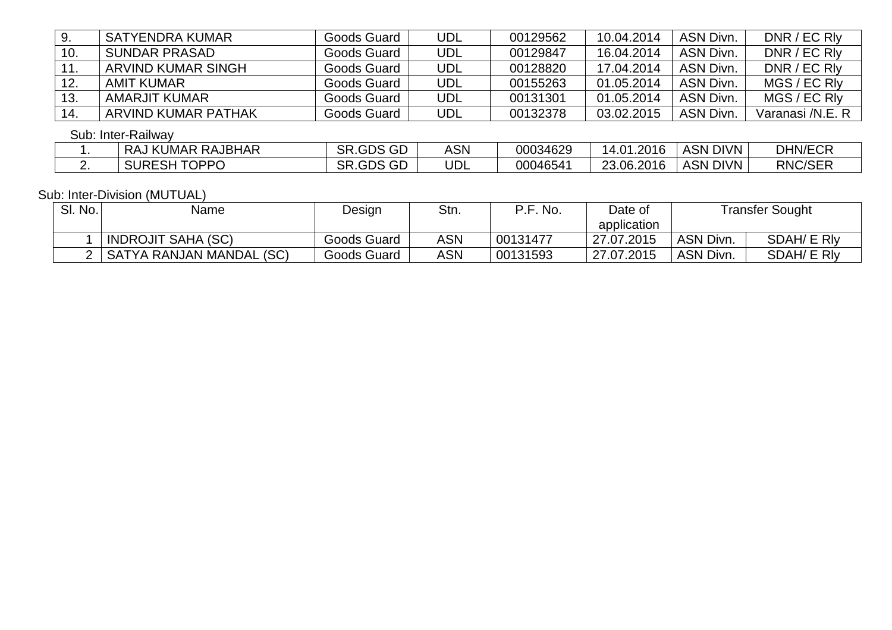| 9.  | <b>SATYENDRA KUMAR</b>    | Goods Guard      | UDL        | 00129562 | 10.04.2014 | ASN Divn.       | DNR / EC RIV     |
|-----|---------------------------|------------------|------------|----------|------------|-----------------|------------------|
| 10. | <b>SUNDAR PRASAD</b>      | Goods Guard      | <b>UDL</b> | 00129847 | 16.04.2014 | ASN Divn.       | DNR / EC RIV     |
| 11. | <b>ARVIND KUMAR SINGH</b> | Goods Guard      | UDL        | 00128820 | 17.04.2014 | ASN Divn.       | DNR / EC RIV     |
| 12. | AMIT KUMAR                | Goods Guard      | UDL        | 00155263 | 01.05.2014 | ASN Divn.       | MGS / EC RIV     |
| 13. | <b>AMARJIT KUMAR</b>      | Goods Guard      | <b>UDL</b> | 00131301 | 01.05.2014 | ASN Divn.       | MGS / EC RIV     |
| 14. | ARVIND KUMAR PATHAK       | Goods Guard      | UDL        | 00132378 | 03.02.2015 | ASN Divn.       | Varanasi /N.E. R |
|     | Sub: Inter-Railway        |                  |            |          |            |                 |                  |
|     | <b>RAJ KUMAR RAJBHAR</b>  | SR.GDS GD        | <b>ASN</b> | 00034629 | 14.01.2016 | <b>ASN DIVN</b> | <b>DHN/ECR</b>   |
| 2.  | <b>SURESH TOPPO</b>       | <b>SR.GDS GD</b> | UDL        | 00046541 | 23.06.2016 | <b>ASN DIVN</b> | <b>RNC/SER</b>   |

#### Sub: Inter-Division (MUTUAL)

| SI. No. | Name                      | Design      | Stn. | P.F. No. | Date of     |                 | Transfer Sought    |
|---------|---------------------------|-------------|------|----------|-------------|-----------------|--------------------|
|         |                           |             |      |          | application |                 |                    |
|         | <b>INDROJIT SAHA (SC)</b> | Goods Guard | ASN  | 00131477 | 27.07.2015  | <b>ASN Divn</b> | SDAH/ E RIV        |
|         | SATYA RANJAN MANDAL (SC)  | Goods Guard | ASN  | 00131593 | 27.07.2015  | ASN Divn.       | <b>SDAH/ E RIV</b> |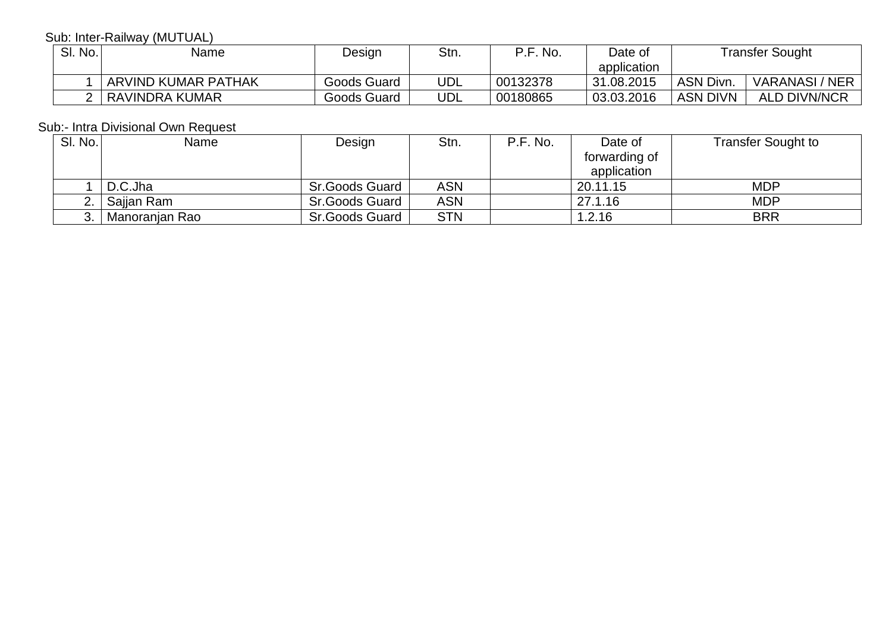## Sub: Inter-Railway (MUTUAL)

| SI. No. | Name                | Design      | Stn. | No.<br>D E. | Date of     |                 | Transfer Sought     |
|---------|---------------------|-------------|------|-------------|-------------|-----------------|---------------------|
|         |                     |             |      |             | application |                 |                     |
|         | ARVIND KUMAR PATHAK | Goods Guard | UDL  | 00132378    | 31.08.2015  | <b>ASN Divn</b> | VARANASI / NER      |
|         | RAVINDRA KUMAR      | Goods Guard | UDL  | 00180865    | 03.03.2016  | <b>ASN DIVN</b> | <b>ALD DIVN/NCR</b> |

## Sub:- Intra Divisional Own Request

| <b>SI. No.</b> | Name           | Design                | Stn.       | P.F. No. | Date of       | <b>Transfer Sought to</b> |
|----------------|----------------|-----------------------|------------|----------|---------------|---------------------------|
|                |                |                       |            |          | forwarding of |                           |
|                |                |                       |            |          | application   |                           |
|                | D.C.Jha        | Sr.Goods Guard        | <b>ASN</b> |          | 20.11.15      | <b>MDP</b>                |
|                | Saijan Ram     | Sr.Goods Guard        | <b>ASN</b> |          | 27.1.16       | <b>MDP</b>                |
|                | Manoranjan Rao | <b>Sr.Goods Guard</b> | <b>STN</b> |          | 1.2.16        | <b>BRR</b>                |